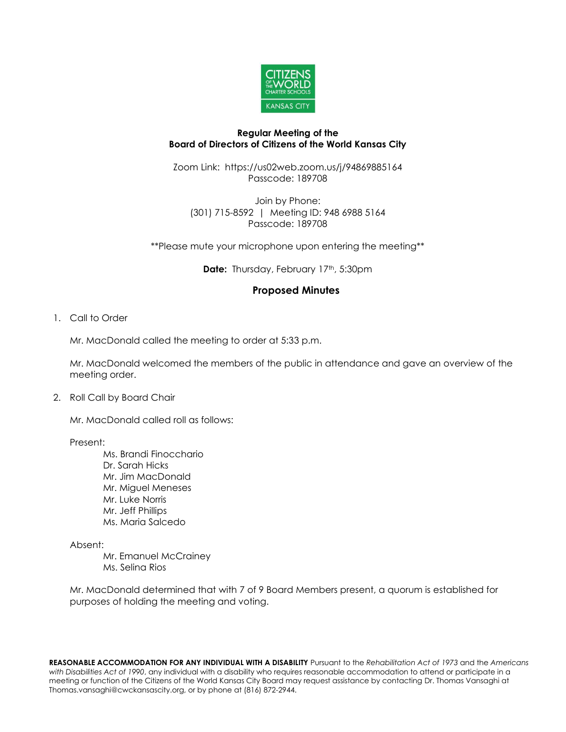

## **Regular Meeting of the Board of Directors of Citizens of the World Kansas City**

Zoom Link: https://us02web.zoom.us/j/94869885164 Passcode: 189708

Join by Phone: (301) 715-8592 | Meeting ID: 948 6988 5164 Passcode: 189708

\*\*Please mute your microphone upon entering the meeting\*\*

**Date:** Thursday, February 17<sup>th</sup>, 5:30pm

# **Proposed Minutes**

1. Call to Order

Mr. MacDonald called the meeting to order at 5:33 p.m.

Mr. MacDonald welcomed the members of the public in attendance and gave an overview of the meeting order.

2. Roll Call by Board Chair

Mr. MacDonald called roll as follows:

Present:

Ms. Brandi Finocchario Dr. Sarah Hicks Mr. Jim MacDonald Mr. Miguel Meneses Mr. Luke Norris Mr. Jeff Phillips Ms. Maria Salcedo

Absent:

Mr. Emanuel McCrainey Ms. Selina Rios

Mr. MacDonald determined that with 7 of 9 Board Members present, a quorum is established for purposes of holding the meeting and voting.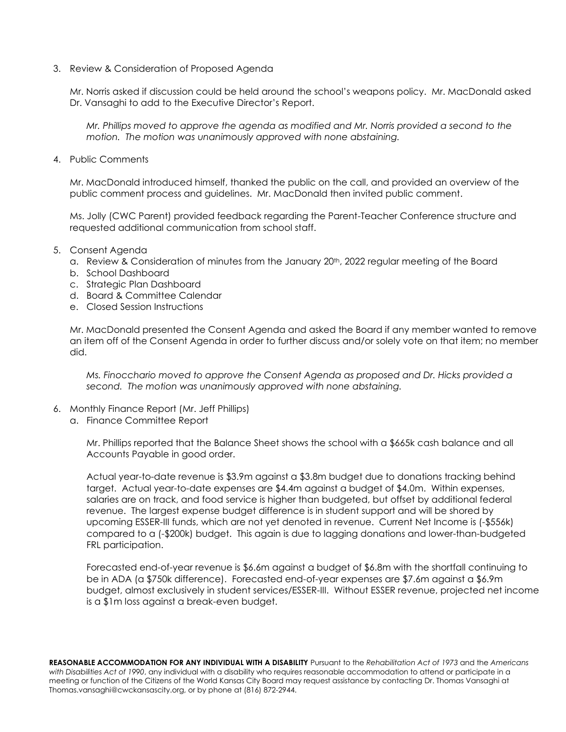3. Review & Consideration of Proposed Agenda

Mr. Norris asked if discussion could be held around the school's weapons policy. Mr. MacDonald asked Dr. Vansaghi to add to the Executive Director's Report.

*Mr. Phillips moved to approve the agenda as modified and Mr. Norris provided a second to the motion. The motion was unanimously approved with none abstaining.* 

4. Public Comments

Mr. MacDonald introduced himself, thanked the public on the call, and provided an overview of the public comment process and guidelines. Mr. MacDonald then invited public comment.

Ms. Jolly (CWC Parent) provided feedback regarding the Parent-Teacher Conference structure and requested additional communication from school staff.

- 5. Consent Agenda
	- a. Review & Consideration of minutes from the January 20<sup>th</sup>, 2022 regular meeting of the Board
	- b. School Dashboard
	- c. Strategic Plan Dashboard
	- d. Board & Committee Calendar
	- e. Closed Session Instructions

Mr. MacDonald presented the Consent Agenda and asked the Board if any member wanted to remove an item off of the Consent Agenda in order to further discuss and/or solely vote on that item; no member did.

*Ms. Finocchario moved to approve the Consent Agenda as proposed and Dr. Hicks provided a second. The motion was unanimously approved with none abstaining.*

- 6. Monthly Finance Report (Mr. Jeff Phillips)
	- a. Finance Committee Report

Mr. Phillips reported that the Balance Sheet shows the school with a \$665k cash balance and all Accounts Payable in good order.

Actual year-to-date revenue is \$3.9m against a \$3.8m budget due to donations tracking behind target. Actual year-to-date expenses are \$4.4m against a budget of \$4.0m. Within expenses, salaries are on track, and food service is higher than budgeted, but offset by additional federal revenue. The largest expense budget difference is in student support and will be shored by upcoming ESSER-III funds, which are not yet denoted in revenue. Current Net Income is (-\$556k) compared to a (-\$200k) budget. This again is due to lagging donations and lower-than-budgeted FRL participation.

Forecasted end-of-year revenue is \$6.6m against a budget of \$6.8m with the shortfall continuing to be in ADA (a \$750k difference). Forecasted end-of-year expenses are \$7.6m against a \$6.9m budget, almost exclusively in student services/ESSER-III. Without ESSER revenue, projected net income is a \$1m loss against a break-even budget.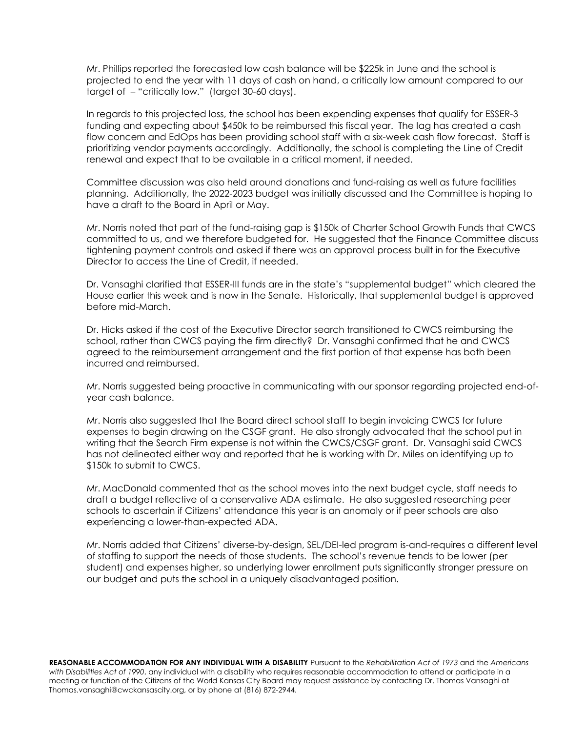Mr. Phillips reported the forecasted low cash balance will be \$225k in June and the school is projected to end the year with 11 days of cash on hand, a critically low amount compared to our target of – "critically low." (target 30-60 days).

In regards to this projected loss, the school has been expending expenses that qualify for ESSER-3 funding and expecting about \$450k to be reimbursed this fiscal year. The lag has created a cash flow concern and EdOps has been providing school staff with a six-week cash flow forecast. Staff is prioritizing vendor payments accordingly. Additionally, the school is completing the Line of Credit renewal and expect that to be available in a critical moment, if needed.

Committee discussion was also held around donations and fund-raising as well as future facilities planning. Additionally, the 2022-2023 budget was initially discussed and the Committee is hoping to have a draft to the Board in April or May.

Mr. Norris noted that part of the fund-raising gap is \$150k of Charter School Growth Funds that CWCS committed to us, and we therefore budgeted for. He suggested that the Finance Committee discuss tightening payment controls and asked if there was an approval process built in for the Executive Director to access the Line of Credit, if needed.

Dr. Vansaghi clarified that ESSER-III funds are in the state's "supplemental budget" which cleared the House earlier this week and is now in the Senate. Historically, that supplemental budget is approved before mid-March.

Dr. Hicks asked if the cost of the Executive Director search transitioned to CWCS reimbursing the school, rather than CWCS paying the firm directly? Dr. Vansaghi confirmed that he and CWCS agreed to the reimbursement arrangement and the first portion of that expense has both been incurred and reimbursed.

Mr. Norris suggested being proactive in communicating with our sponsor regarding projected end-ofyear cash balance.

Mr. Norris also suggested that the Board direct school staff to begin invoicing CWCS for future expenses to begin drawing on the CSGF grant. He also strongly advocated that the school put in writing that the Search Firm expense is not within the CWCS/CSGF grant. Dr. Vansaghi said CWCS has not delineated either way and reported that he is working with Dr. Miles on identifying up to \$150k to submit to CWCS.

Mr. MacDonald commented that as the school moves into the next budget cycle, staff needs to draft a budget reflective of a conservative ADA estimate. He also suggested researching peer schools to ascertain if Citizens' attendance this year is an anomaly or if peer schools are also experiencing a lower-than-expected ADA.

Mr. Norris added that Citizens' diverse-by-design, SEL/DEI-led program is-and-requires a different level of staffing to support the needs of those students. The school's revenue tends to be lower (per student) and expenses higher, so underlying lower enrollment puts significantly stronger pressure on our budget and puts the school in a uniquely disadvantaged position.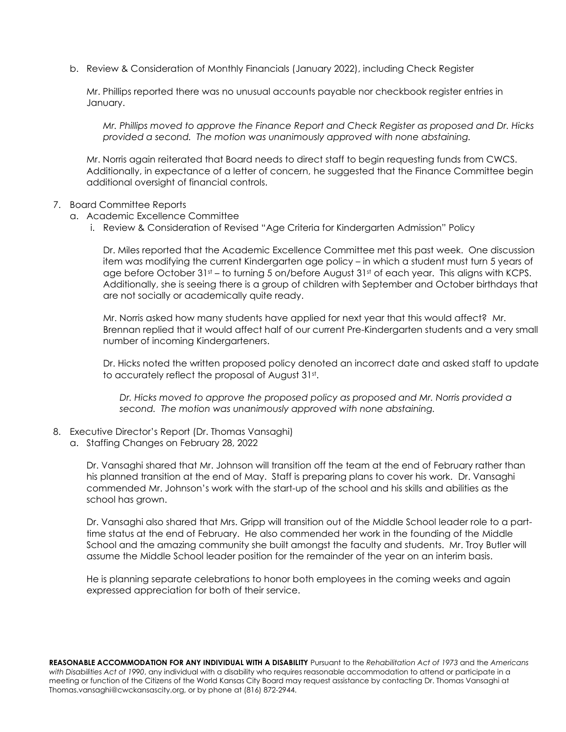b. Review & Consideration of Monthly Financials (January 2022), including Check Register

Mr. Phillips reported there was no unusual accounts payable nor checkbook register entries in January.

*Mr. Phillips moved to approve the Finance Report and Check Register as proposed and Dr. Hicks provided a second. The motion was unanimously approved with none abstaining.*

Mr. Norris again reiterated that Board needs to direct staff to begin requesting funds from CWCS. Additionally, in expectance of a letter of concern, he suggested that the Finance Committee begin additional oversight of financial controls.

#### 7. Board Committee Reports

- a. Academic Excellence Committee
	- i. Review & Consideration of Revised "Age Criteria for Kindergarten Admission" Policy

Dr. Miles reported that the Academic Excellence Committee met this past week. One discussion item was modifying the current Kindergarten age policy – in which a student must turn 5 years of age before October  $31st - to$  turning 5 on/before August  $31st$  of each year. This aligns with KCPS. Additionally, she is seeing there is a group of children with September and October birthdays that are not socially or academically quite ready.

Mr. Norris asked how many students have applied for next year that this would affect? Mr. Brennan replied that it would affect half of our current Pre-Kindergarten students and a very small number of incoming Kindergarteners.

Dr. Hicks noted the written proposed policy denoted an incorrect date and asked staff to update to accurately reflect the proposal of August 31st .

*Dr. Hicks moved to approve the proposed policy as proposed and Mr. Norris provided a second. The motion was unanimously approved with none abstaining.*

- 8. Executive Director's Report (Dr. Thomas Vansaghi)
	- a. Staffing Changes on February 28, 2022

Dr. Vansaghi shared that Mr. Johnson will transition off the team at the end of February rather than his planned transition at the end of May. Staff is preparing plans to cover his work. Dr. Vansaghi commended Mr. Johnson's work with the start-up of the school and his skills and abilities as the school has grown.

Dr. Vansaghi also shared that Mrs. Gripp will transition out of the Middle School leader role to a parttime status at the end of February. He also commended her work in the founding of the Middle School and the amazing community she built amongst the faculty and students. Mr. Troy Butler will assume the Middle School leader position for the remainder of the year on an interim basis.

He is planning separate celebrations to honor both employees in the coming weeks and again expressed appreciation for both of their service.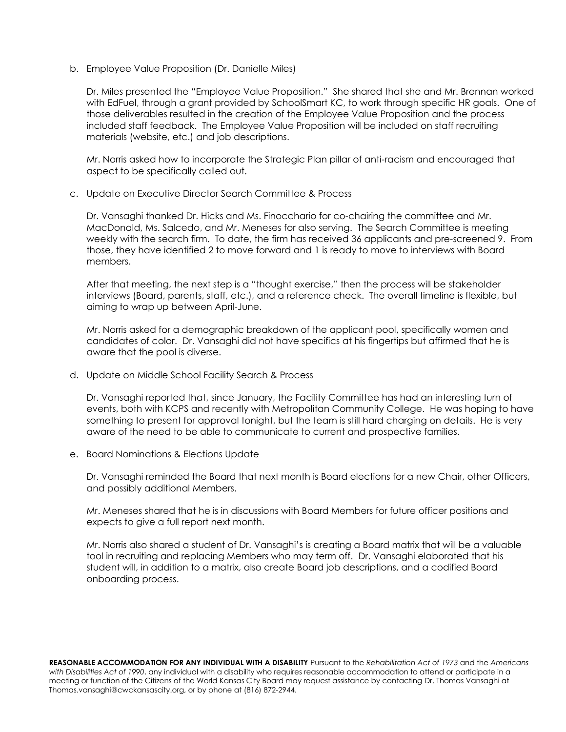b. Employee Value Proposition (Dr. Danielle Miles)

Dr. Miles presented the "Employee Value Proposition." She shared that she and Mr. Brennan worked with EdFuel, through a grant provided by SchoolSmart KC, to work through specific HR goals. One of those deliverables resulted in the creation of the Employee Value Proposition and the process included staff feedback. The Employee Value Proposition will be included on staff recruiting materials (website, etc.) and job descriptions.

Mr. Norris asked how to incorporate the Strategic Plan pillar of anti-racism and encouraged that aspect to be specifically called out.

c. Update on Executive Director Search Committee & Process

Dr. Vansaghi thanked Dr. Hicks and Ms. Finocchario for co-chairing the committee and Mr. MacDonald, Ms. Salcedo, and Mr. Meneses for also serving. The Search Committee is meeting weekly with the search firm. To date, the firm has received 36 applicants and pre-screened 9. From those, they have identified 2 to move forward and 1 is ready to move to interviews with Board members.

After that meeting, the next step is a "thought exercise," then the process will be stakeholder interviews (Board, parents, staff, etc.), and a reference check. The overall timeline is flexible, but aiming to wrap up between April-June.

Mr. Norris asked for a demographic breakdown of the applicant pool, specifically women and candidates of color. Dr. Vansaghi did not have specifics at his fingertips but affirmed that he is aware that the pool is diverse.

d. Update on Middle School Facility Search & Process

Dr. Vansaghi reported that, since January, the Facility Committee has had an interesting turn of events, both with KCPS and recently with Metropolitan Community College. He was hoping to have something to present for approval tonight, but the team is still hard charging on details. He is very aware of the need to be able to communicate to current and prospective families.

e. Board Nominations & Elections Update

Dr. Vansaghi reminded the Board that next month is Board elections for a new Chair, other Officers, and possibly additional Members.

Mr. Meneses shared that he is in discussions with Board Members for future officer positions and expects to give a full report next month.

Mr. Norris also shared a student of Dr. Vansaghi's is creating a Board matrix that will be a valuable tool in recruiting and replacing Members who may term off. Dr. Vansaghi elaborated that his student will, in addition to a matrix, also create Board job descriptions, and a codified Board onboarding process.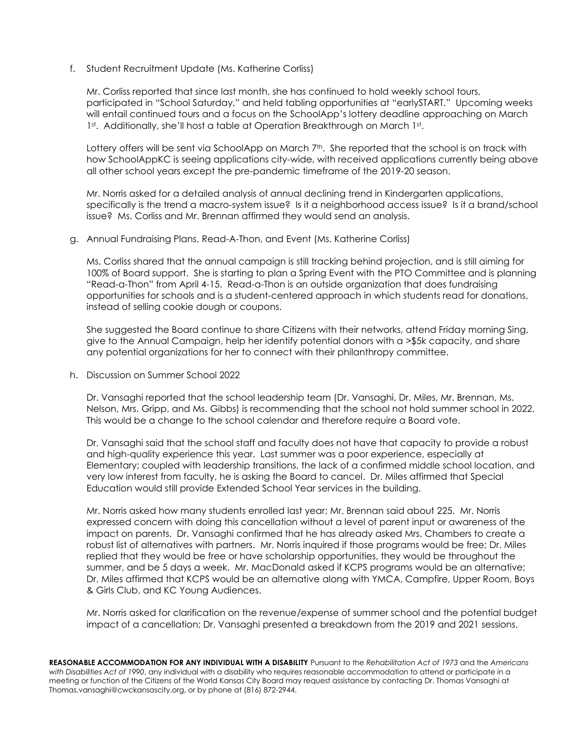f. Student Recruitment Update (Ms. Katherine Corliss)

Mr. Corliss reported that since last month, she has continued to hold weekly school tours, participated in "School Saturday," and held tabling opportunities at "earlySTART." Upcoming weeks will entail continued tours and a focus on the SchoolApp's lottery deadline approaching on March 1st. Additionally, she'll host a table at Operation Breakthrough on March 1st.

Lottery offers will be sent via SchoolApp on March 7<sup>th</sup>. She reported that the school is on track with how SchoolAppKC is seeing applications city-wide, with received applications currently being above all other school years except the pre-pandemic timeframe of the 2019-20 season.

Mr. Norris asked for a detailed analysis of annual declining trend in Kindergarten applications, specifically is the trend a macro-system issue? Is it a neighborhood access issue? Is it a brand/school issue? Ms. Corliss and Mr. Brennan affirmed they would send an analysis.

### g. Annual Fundraising Plans, Read-A-Thon, and Event (Ms. Katherine Corliss)

Ms. Corliss shared that the annual campaign is still tracking behind projection, and is still aiming for 100% of Board support. She is starting to plan a Spring Event with the PTO Committee and is planning "Read-a-Thon" from April 4-15. Read-a-Thon is an outside organization that does fundraising opportunities for schools and is a student-centered approach in which students read for donations, instead of selling cookie dough or coupons.

She suggested the Board continue to share Citizens with their networks, attend Friday morning Sing, give to the Annual Campaign, help her identify potential donors with a >\$5k capacity, and share any potential organizations for her to connect with their philanthropy committee.

h. Discussion on Summer School 2022

Dr. Vansaghi reported that the school leadership team (Dr. Vansaghi, Dr. Miles, Mr. Brennan, Ms. Nelson, Mrs. Gripp, and Ms. Gibbs) is recommending that the school not hold summer school in 2022. This would be a change to the school calendar and therefore require a Board vote.

Dr. Vansaghi said that the school staff and faculty does not have that capacity to provide a robust and high-quality experience this year. Last summer was a poor experience, especially at Elementary; coupled with leadership transitions, the lack of a confirmed middle school location, and very low interest from faculty, he is asking the Board to cancel. Dr. Miles affirmed that Special Education would still provide Extended School Year services in the building.

Mr. Norris asked how many students enrolled last year; Mr. Brennan said about 225. Mr. Norris expressed concern with doing this cancellation without a level of parent input or awareness of the impact on parents. Dr. Vansaghi confirmed that he has already asked Mrs. Chambers to create a robust list of alternatives with partners. Mr. Norris inquired if those programs would be free; Dr. Miles replied that they would be free or have scholarship opportunities, they would be throughout the summer, and be 5 days a week. Mr. MacDonald asked if KCPS programs would be an alternative; Dr. Miles affirmed that KCPS would be an alternative along with YMCA, Campfire, Upper Room, Boys & Girls Club, and KC Young Audiences.

Mr. Norris asked for clarification on the revenue/expense of summer school and the potential budget impact of a cancellation; Dr. Vansaghi presented a breakdown from the 2019 and 2021 sessions.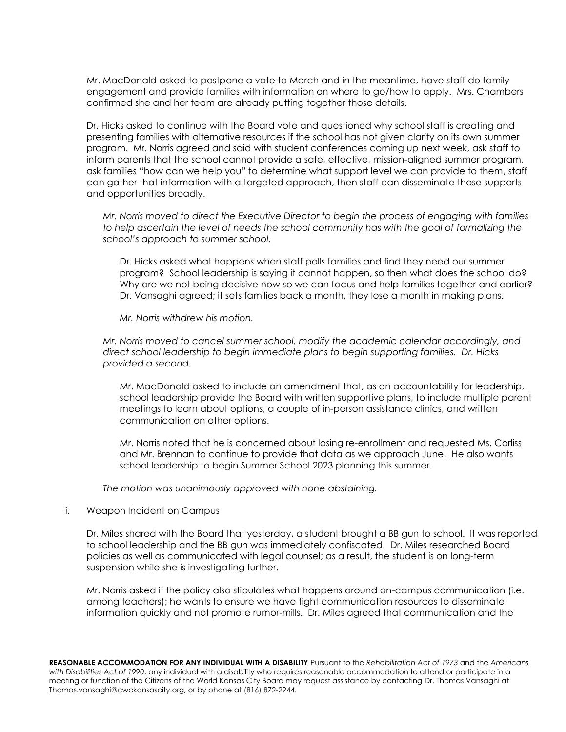Mr. MacDonald asked to postpone a vote to March and in the meantime, have staff do family engagement and provide families with information on where to go/how to apply. Mrs. Chambers confirmed she and her team are already putting together those details.

Dr. Hicks asked to continue with the Board vote and questioned why school staff is creating and presenting families with alternative resources if the school has not given clarity on its own summer program. Mr. Norris agreed and said with student conferences coming up next week, ask staff to inform parents that the school cannot provide a safe, effective, mission-aligned summer program, ask families "how can we help you" to determine what support level we can provide to them, staff can gather that information with a targeted approach, then staff can disseminate those supports and opportunities broadly.

*Mr. Norris moved to direct the Executive Director to begin the process of engaging with families to help ascertain the level of needs the school community has with the goal of formalizing the school's approach to summer school.*

Dr. Hicks asked what happens when staff polls families and find they need our summer program? School leadership is saying it cannot happen, so then what does the school do? Why are we not being decisive now so we can focus and help families together and earlier? Dr. Vansaghi agreed; it sets families back a month, they lose a month in making plans.

*Mr. Norris withdrew his motion.*

*Mr. Norris moved to cancel summer school, modify the academic calendar accordingly, and direct school leadership to begin immediate plans to begin supporting families. Dr. Hicks provided a second.* 

Mr. MacDonald asked to include an amendment that, as an accountability for leadership, school leadership provide the Board with written supportive plans, to include multiple parent meetings to learn about options, a couple of in-person assistance clinics, and written communication on other options.

Mr. Norris noted that he is concerned about losing re-enrollment and requested Ms. Corliss and Mr. Brennan to continue to provide that data as we approach June. He also wants school leadership to begin Summer School 2023 planning this summer.

*The motion was unanimously approved with none abstaining.*

## i. Weapon Incident on Campus

Dr. Miles shared with the Board that yesterday, a student brought a BB gun to school. It was reported to school leadership and the BB gun was immediately confiscated. Dr. Miles researched Board policies as well as communicated with legal counsel; as a result, the student is on long-term suspension while she is investigating further.

Mr. Norris asked if the policy also stipulates what happens around on-campus communication (i.e. among teachers); he wants to ensure we have tight communication resources to disseminate information quickly and not promote rumor-mills. Dr. Miles agreed that communication and the